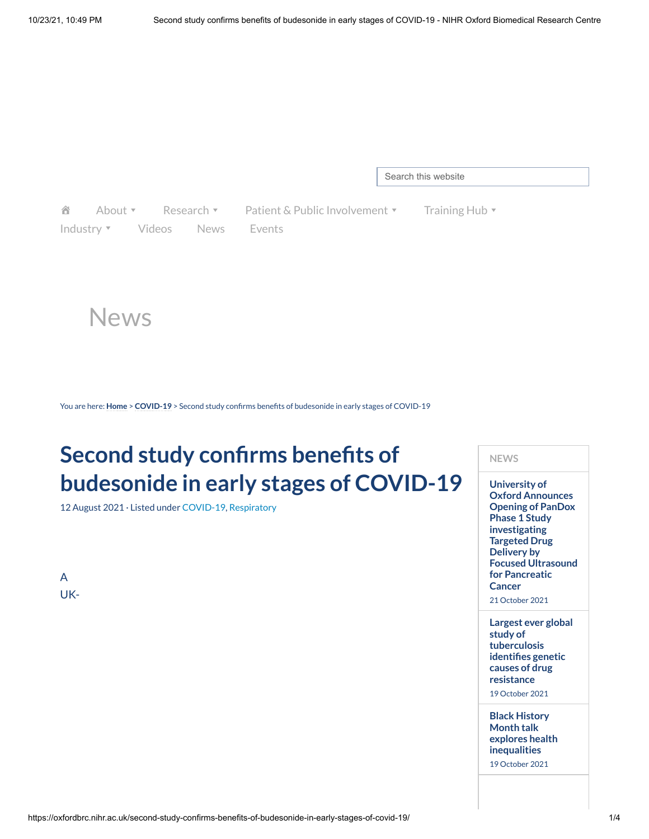Search this website

合 [Industry](https://oxfordbrc.nihr.ac.uk/industry/) **[Videos](https://oxfordbrc.nihr.ac.uk/videos/)** [News](https://oxfordbrc.nihr.ac.uk/news-archive/) [Events](https://oxfordbrc.nihr.ac.uk/brc-events/)

[About](https://oxfordbrc.nihr.ac.uk/about-us-intro/)  $\mathbf{v}$  [Research](https://oxfordbrc.nihr.ac.uk/research-themes-overview/)  $\mathbf{v}$  Patient & [Public Involvement](https://oxfordbrc.nihr.ac.uk/ppi/)  $\mathbf{v}$  [Training](https://oxfordbrc.nihr.ac.uk/training-hub/) Hub  $\mathbf{v}$ 

**NEWS**

**University of Oxford Announces Opening of PanDox Phase 1 Study [investigating](https://oxfordbrc.nihr.ac.uk/university-of-oxford-announces-opening-of-pandox-phase-1-study-investigating-targeted-drug-delivery-by-focused-ultrasound-for-pancreatic-cancer/) Targeted Drug Delivery by**

**Focused Ultrasound for Pancreatic Cancer** 21 October 2021

**Largest ever global**

**study of [tuberculosis](https://oxfordbrc.nihr.ac.uk/largest-ever-global-study-of-tuberculosis-identifies-genetic-causes-of-drug-resistance/) identifies genetic causes of drug resistance** 19 October 2021

**Black History Month talk explores health [inequalities](https://oxfordbrc.nihr.ac.uk/black-history-month-talk-explores-health-inequalities/)** 19 October 2021

News

You are here: **[Home](https://oxfordbrc.nihr.ac.uk/)** > **[COVID-19](https://oxfordbrc.nihr.ac.uk/category/covid-19/)** > Second study confirms benefits of budesonide in early stages of COVID-19

# **Second study confirms benefits of budesonide in early stages of COVID-19**

12 August 2021 · Listed under [COVID-19,](https://oxfordbrc.nihr.ac.uk/category/covid-19/) [Respiratory](https://oxfordbrc.nihr.ac.uk/category/news-respiratory/)

A UK-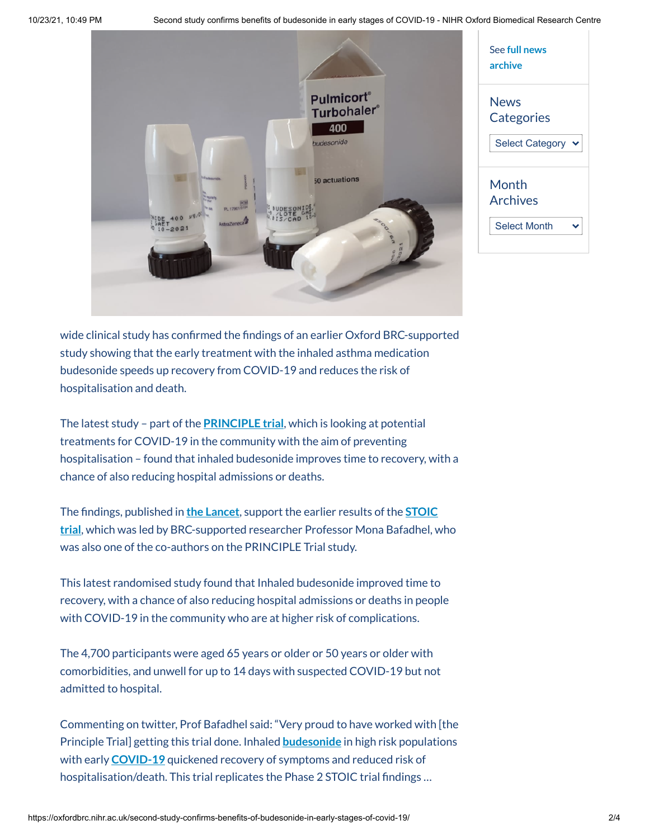10/23/21, 10:49 PM Second study confirms benefits of budesonide in early stages of COVID-19 - NIHR Oxford Biomedical Research Centre



| See full news<br>archive  |
|---------------------------|
| <b>News</b><br>Categories |
| <b>Select Category</b>    |
| Month<br><b>Archives</b>  |
| <b>Select Month</b>       |

wide clinical study has confirmed the findings of an earlier Oxford BRC-supported study showing that the early treatment with the inhaled asthma medication budesonide speeds up recovery from COVID-19 and reduces the risk of hospitalisation and death.

The latest study – part of the **[PRINCIPLE](https://www.principletrial.org/) trial**, which is looking at potential treatments for COVID-19 in the community with the aim of preventing hospitalisation – found that inhaled budesonide improves time to recovery, with a chance of also reducing hospital admissions or deaths.

The findings, published in **the [Lancet](https://www.thelancet.com/journals/lancet/article/PIIS0140-6736(21)01744-X/fulltext)**, support the earlier results of the **STOIC trial**, which was led by [BRC-supported researcher](https://oxfordbrc.nihr.ac.uk/common-asthma-treatment-reduces-need-for-hospitalisation-in-covid-19-patients-study-suggests/?highlight=STOIC) Professor Mona Bafadhel, who was also one of the co-authors on the PRINCIPLE Trial study.

This latest randomised study found that Inhaled budesonide improved time to recovery, with a chance of also reducing hospital admissions or deaths in people with COVID-19 in the community who are at higher risk of complications.

The 4,700 participants were aged 65 years or older or 50 years or older with comorbidities, and unwell for up to 14 days with suspected COVID-19 but not admitted to hospital.

Commenting on twitter, Prof Bafadhel said: "Very proud to have worked with [the Principle Trial] getting this trial done. Inhaled **[budesonide](https://twitter.com/hashtag/budesonide?src=hashtag_click)** in high risk populations with early **[COVID-19](https://twitter.com/hashtag/COVID19?src=hashtag_click)** quickened recovery of symptoms and reduced risk of hospitalisation/death. This trial replicates the Phase 2 STOIC trial findings …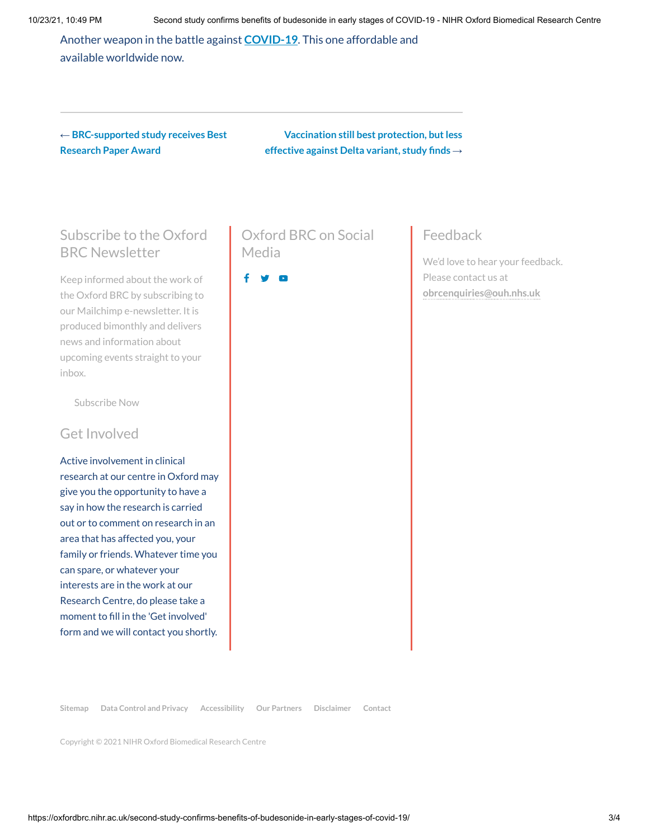Another weapon in the battle against **[COVID-19](https://twitter.com/hashtag/COVID19?src=hashtag_click)**. This one affordable and available worldwide now.

← **[BRC-supported](https://oxfordbrc.nihr.ac.uk/brc-supported-study-awarded-best-research-paper-award/) study receives Best Research Paper Award**

**[Vaccination](https://oxfordbrc.nihr.ac.uk/vaccination-still-best-protection-but-less-effective-against-delta-variant-study-finds/) still best protection, butless effective against Delta variant, study finds** →

## Subscribe to the Oxford BRC Newsletter

Keep informed about the work of the Oxford BRC by subscribing to our Mailchimp e-newsletter. It is produced bimonthly and delivers news and information about upcoming events straight to your inbox.

[Subscribe](http://eepurl.com/ckvFev) Now

#### Get Involved

Active involvement in clinical research at our centre in Oxford may give you the opportunity to have a say in how the research is carried out or to comment on research in an area that has affected you, your family or friends. Whatever time you can spare, or whatever your interests are in the work at our Research Centre, do please take a moment to fill in the 'Get involved' form and we will contact you shortly.

## Oxford BRC on Social Media

### Feedback

We'd love to hear your feedback. Please contact us at **[obrcenquiries@ouh.nhs.uk](mailto:obrcenquiries@ouh.nhs.uk)**

**[Sitemap](https://oxfordbrc.nihr.ac.uk/sitemap/) Data [Control](https://oxfordbrc.nihr.ac.uk/data-control-and-privacy/) and Privacy [Accessibility](https://oxfordbrc.nihr.ac.uk/accessibility/) [Our Partners](https://oxfordbrc.nihr.ac.uk/about-us-intro/our-partners-2/) [Disclaimer](https://oxfordbrc.nihr.ac.uk/disclaimer/) [Contact](https://oxfordbrc.nihr.ac.uk/contact-us-2/)**

Copyright © 2021 NIHR Oxford Biomedical Research Centre